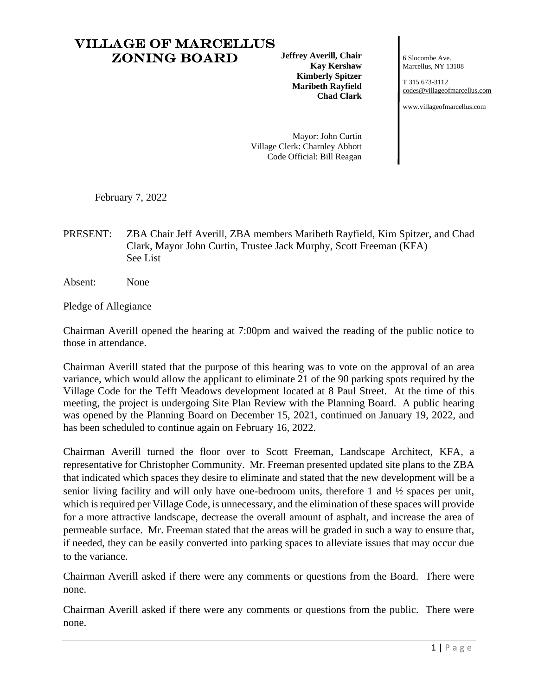## Village of Marcellus Zoning Board

**Jeffrey Averill, Chair Kay Kershaw Kimberly Spitzer Maribeth Rayfield Chad Clark**

6 Slocombe Ave. Marcellus, NY 13108

T 315 673-3112 [codes@villageofmarcellus.com](mailto:codes@villageofmarcellus.com)

[www.villageofmarcellus.com](http://www.villageofmarcellus.com/)

Mayor: John Curtin Village Clerk: Charnley Abbott Code Official: Bill Reagan

February 7, 2022

PRESENT: ZBA Chair Jeff Averill, ZBA members Maribeth Rayfield, Kim Spitzer, and Chad Clark, Mayor John Curtin, Trustee Jack Murphy, Scott Freeman (KFA) See List

Absent: None

Pledge of Allegiance

Chairman Averill opened the hearing at 7:00pm and waived the reading of the public notice to those in attendance.

Chairman Averill stated that the purpose of this hearing was to vote on the approval of an area variance, which would allow the applicant to eliminate 21 of the 90 parking spots required by the Village Code for the Tefft Meadows development located at 8 Paul Street. At the time of this meeting, the project is undergoing Site Plan Review with the Planning Board. A public hearing was opened by the Planning Board on December 15, 2021, continued on January 19, 2022, and has been scheduled to continue again on February 16, 2022.

Chairman Averill turned the floor over to Scott Freeman, Landscape Architect, KFA, a representative for Christopher Community. Mr. Freeman presented updated site plans to the ZBA that indicated which spaces they desire to eliminate and stated that the new development will be a senior living facility and will only have one-bedroom units, therefore 1 and ½ spaces per unit, which is required per Village Code, is unnecessary, and the elimination of these spaces will provide for a more attractive landscape, decrease the overall amount of asphalt, and increase the area of permeable surface. Mr. Freeman stated that the areas will be graded in such a way to ensure that, if needed, they can be easily converted into parking spaces to alleviate issues that may occur due to the variance.

Chairman Averill asked if there were any comments or questions from the Board. There were none.

Chairman Averill asked if there were any comments or questions from the public. There were none.